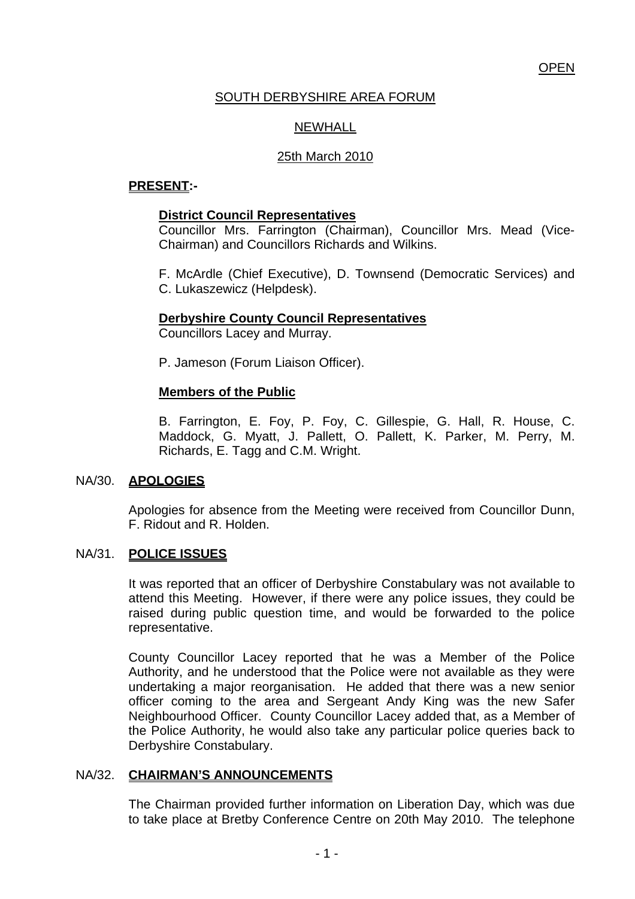# **OPEN**

# SOUTH DERBYSHIRE AREA FORUM

# NEWHALL

## 25th March 2010

# **PRESENT:-**

### **District Council Representatives**

 Councillor Mrs. Farrington (Chairman), Councillor Mrs. Mead (Vice-Chairman) and Councillors Richards and Wilkins.

 F. McArdle (Chief Executive), D. Townsend (Democratic Services) and C. Lukaszewicz (Helpdesk).

### **Derbyshire County Council Representatives**

Councillors Lacey and Murray.

P. Jameson (Forum Liaison Officer).

### **Members of the Public**

B. Farrington, E. Foy, P. Foy, C. Gillespie, G. Hall, R. House, C. Maddock, G. Myatt, J. Pallett, O. Pallett, K. Parker, M. Perry, M. Richards, E. Tagg and C.M. Wright.

### NA/30. **APOLOGIES**

 Apologies for absence from the Meeting were received from Councillor Dunn, F. Ridout and R. Holden.

#### NA/31. **POLICE ISSUES**

It was reported that an officer of Derbyshire Constabulary was not available to attend this Meeting. However, if there were any police issues, they could be raised during public question time, and would be forwarded to the police representative.

County Councillor Lacey reported that he was a Member of the Police Authority, and he understood that the Police were not available as they were undertaking a major reorganisation. He added that there was a new senior officer coming to the area and Sergeant Andy King was the new Safer Neighbourhood Officer. County Councillor Lacey added that, as a Member of the Police Authority, he would also take any particular police queries back to Derbyshire Constabulary.

### NA/32. **CHAIRMAN'S ANNOUNCEMENTS**

The Chairman provided further information on Liberation Day, which was due to take place at Bretby Conference Centre on 20th May 2010. The telephone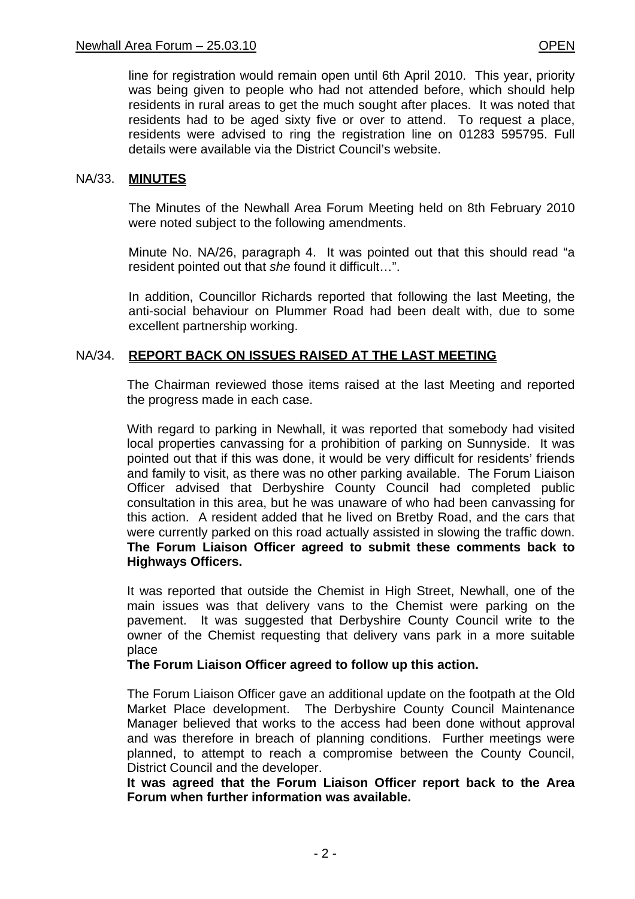line for registration would remain open until 6th April 2010. This year, priority was being given to people who had not attended before, which should help residents in rural areas to get the much sought after places. It was noted that residents had to be aged sixty five or over to attend. To request a place, residents were advised to ring the registration line on 01283 595795. Full details were available via the District Council's website.

#### NA/33. **MINUTES**

The Minutes of the Newhall Area Forum Meeting held on 8th February 2010 were noted subject to the following amendments.

Minute No. NA/26, paragraph 4. It was pointed out that this should read "a resident pointed out that *she* found it difficult…".

In addition, Councillor Richards reported that following the last Meeting, the anti-social behaviour on Plummer Road had been dealt with, due to some excellent partnership working.

### NA/34. **REPORT BACK ON ISSUES RAISED AT THE LAST MEETING**

The Chairman reviewed those items raised at the last Meeting and reported the progress made in each case.

With regard to parking in Newhall, it was reported that somebody had visited local properties canvassing for a prohibition of parking on Sunnyside. It was pointed out that if this was done, it would be very difficult for residents' friends and family to visit, as there was no other parking available. The Forum Liaison Officer advised that Derbyshire County Council had completed public consultation in this area, but he was unaware of who had been canvassing for this action. A resident added that he lived on Bretby Road, and the cars that were currently parked on this road actually assisted in slowing the traffic down. **The Forum Liaison Officer agreed to submit these comments back to Highways Officers.**

It was reported that outside the Chemist in High Street, Newhall, one of the main issues was that delivery vans to the Chemist were parking on the pavement. It was suggested that Derbyshire County Council write to the owner of the Chemist requesting that delivery vans park in a more suitable place

### **The Forum Liaison Officer agreed to follow up this action.**

The Forum Liaison Officer gave an additional update on the footpath at the Old Market Place development. The Derbyshire County Council Maintenance Manager believed that works to the access had been done without approval and was therefore in breach of planning conditions. Further meetings were planned, to attempt to reach a compromise between the County Council, District Council and the developer.

**It was agreed that the Forum Liaison Officer report back to the Area Forum when further information was available.**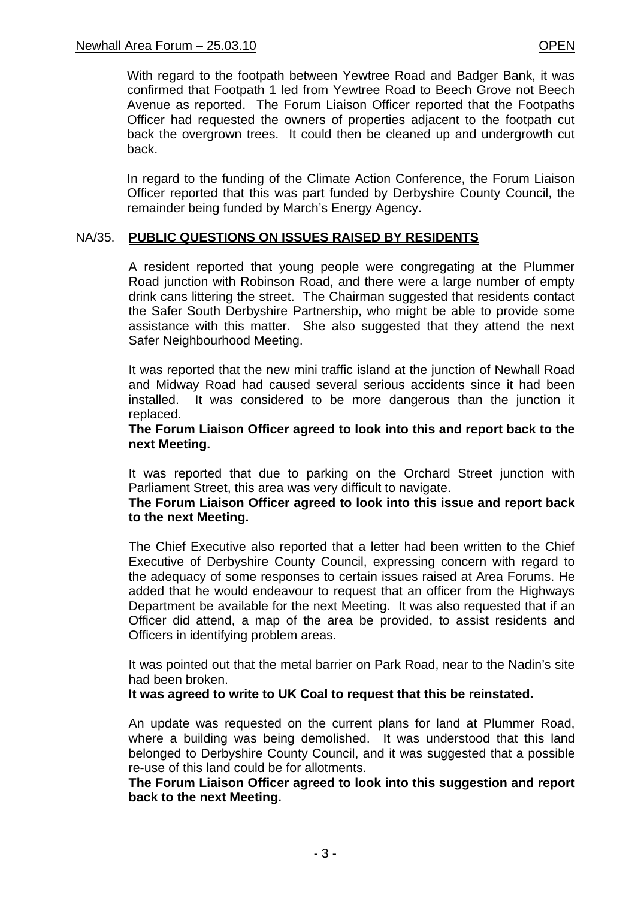With regard to the footpath between Yewtree Road and Badger Bank, it was confirmed that Footpath 1 led from Yewtree Road to Beech Grove not Beech Avenue as reported. The Forum Liaison Officer reported that the Footpaths Officer had requested the owners of properties adjacent to the footpath cut back the overgrown trees. It could then be cleaned up and undergrowth cut back.

In regard to the funding of the Climate Action Conference, the Forum Liaison Officer reported that this was part funded by Derbyshire County Council, the remainder being funded by March's Energy Agency.

### NA/35. **PUBLIC QUESTIONS ON ISSUES RAISED BY RESIDENTS**

A resident reported that young people were congregating at the Plummer Road junction with Robinson Road, and there were a large number of empty drink cans littering the street. The Chairman suggested that residents contact the Safer South Derbyshire Partnership, who might be able to provide some assistance with this matter. She also suggested that they attend the next Safer Neighbourhood Meeting.

It was reported that the new mini traffic island at the junction of Newhall Road and Midway Road had caused several serious accidents since it had been installed. It was considered to be more dangerous than the junction it replaced.

#### **The Forum Liaison Officer agreed to look into this and report back to the next Meeting.**

It was reported that due to parking on the Orchard Street junction with Parliament Street, this area was very difficult to navigate.

#### **The Forum Liaison Officer agreed to look into this issue and report back to the next Meeting.**

The Chief Executive also reported that a letter had been written to the Chief Executive of Derbyshire County Council, expressing concern with regard to the adequacy of some responses to certain issues raised at Area Forums. He added that he would endeavour to request that an officer from the Highways Department be available for the next Meeting. It was also requested that if an Officer did attend, a map of the area be provided, to assist residents and Officers in identifying problem areas.

It was pointed out that the metal barrier on Park Road, near to the Nadin's site had been broken.

### **It was agreed to write to UK Coal to request that this be reinstated.**

An update was requested on the current plans for land at Plummer Road, where a building was being demolished. It was understood that this land belonged to Derbyshire County Council, and it was suggested that a possible re-use of this land could be for allotments.

**The Forum Liaison Officer agreed to look into this suggestion and report back to the next Meeting.**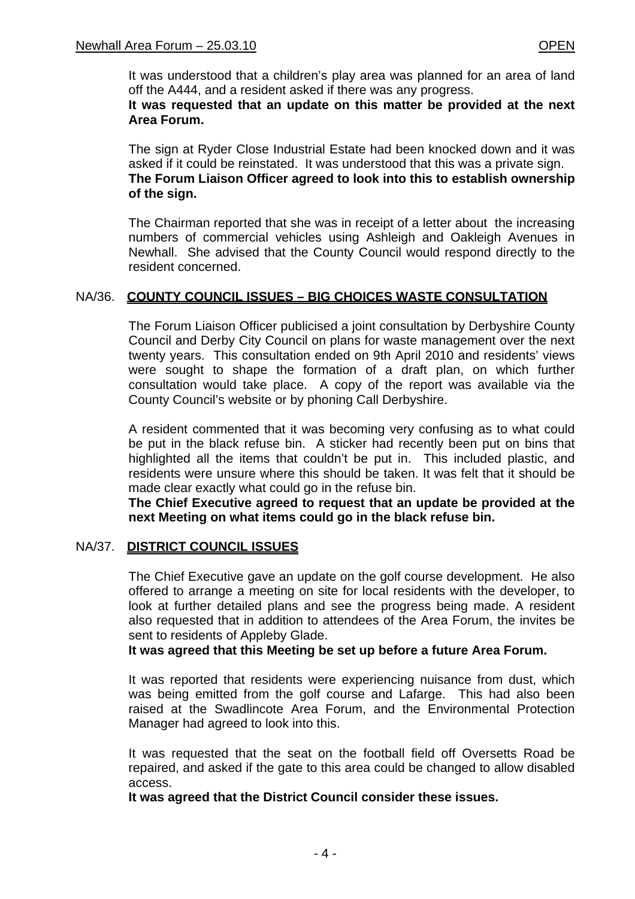It was understood that a children's play area was planned for an area of land off the A444, and a resident asked if there was any progress.

### **It was requested that an update on this matter be provided at the next Area Forum.**

The sign at Ryder Close Industrial Estate had been knocked down and it was asked if it could be reinstated. It was understood that this was a private sign. **The Forum Liaison Officer agreed to look into this to establish ownership of the sign.**

The Chairman reported that she was in receipt of a letter about the increasing numbers of commercial vehicles using Ashleigh and Oakleigh Avenues in Newhall. She advised that the County Council would respond directly to the resident concerned.

# NA/36. **COUNTY COUNCIL ISSUES – BIG CHOICES WASTE CONSULTATION**

The Forum Liaison Officer publicised a joint consultation by Derbyshire County Council and Derby City Council on plans for waste management over the next twenty years. This consultation ended on 9th April 2010 and residents' views were sought to shape the formation of a draft plan, on which further consultation would take place. A copy of the report was available via the County Council's website or by phoning Call Derbyshire.

A resident commented that it was becoming very confusing as to what could be put in the black refuse bin. A sticker had recently been put on bins that highlighted all the items that couldn't be put in. This included plastic, and residents were unsure where this should be taken. It was felt that it should be made clear exactly what could go in the refuse bin.

**The Chief Executive agreed to request that an update be provided at the next Meeting on what items could go in the black refuse bin.**

### NA/37. **DISTRICT COUNCIL ISSUES**

 The Chief Executive gave an update on the golf course development. He also offered to arrange a meeting on site for local residents with the developer, to look at further detailed plans and see the progress being made. A resident also requested that in addition to attendees of the Area Forum, the invites be sent to residents of Appleby Glade.

### **It was agreed that this Meeting be set up before a future Area Forum.**

 It was reported that residents were experiencing nuisance from dust, which was being emitted from the golf course and Lafarge. This had also been raised at the Swadlincote Area Forum, and the Environmental Protection Manager had agreed to look into this.

 It was requested that the seat on the football field off Oversetts Road be repaired, and asked if the gate to this area could be changed to allow disabled access.

**It was agreed that the District Council consider these issues.**